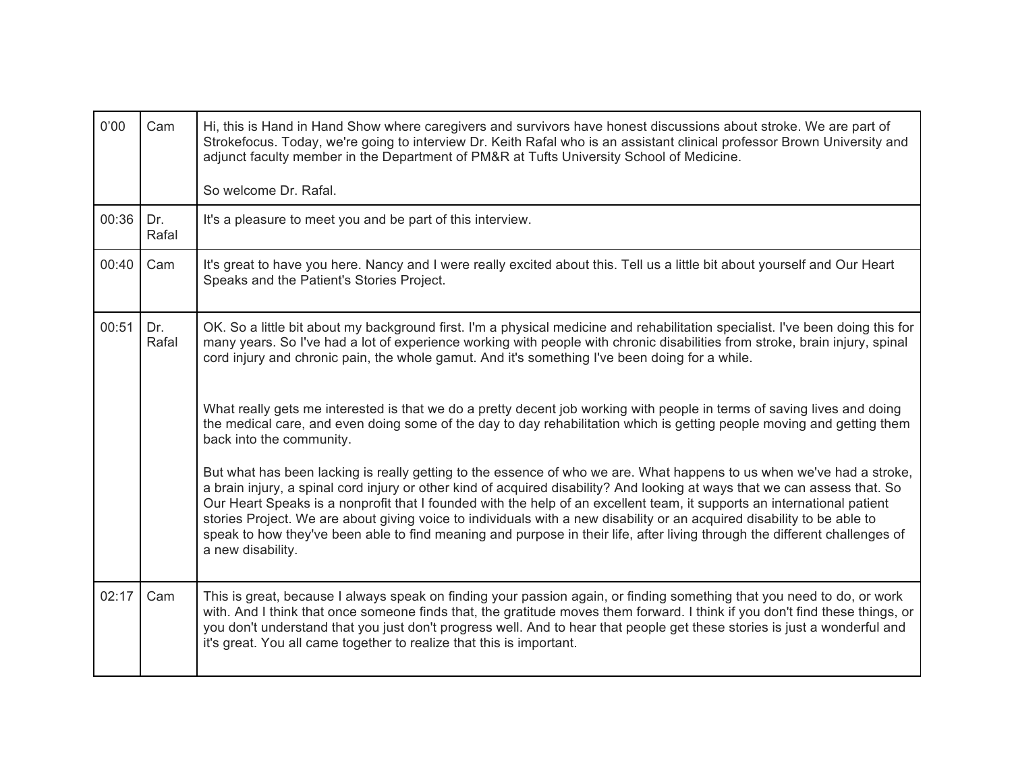| 0'00  | Cam          | Hi, this is Hand in Hand Show where caregivers and survivors have honest discussions about stroke. We are part of<br>Strokefocus. Today, we're going to interview Dr. Keith Rafal who is an assistant clinical professor Brown University and<br>adjunct faculty member in the Department of PM&R at Tufts University School of Medicine.                                                                                                                                                                                                                                                                                                                    |
|-------|--------------|--------------------------------------------------------------------------------------------------------------------------------------------------------------------------------------------------------------------------------------------------------------------------------------------------------------------------------------------------------------------------------------------------------------------------------------------------------------------------------------------------------------------------------------------------------------------------------------------------------------------------------------------------------------|
|       |              | So welcome Dr. Rafal.                                                                                                                                                                                                                                                                                                                                                                                                                                                                                                                                                                                                                                        |
| 00:36 | Dr.<br>Rafal | It's a pleasure to meet you and be part of this interview.                                                                                                                                                                                                                                                                                                                                                                                                                                                                                                                                                                                                   |
| 00:40 | Cam          | It's great to have you here. Nancy and I were really excited about this. Tell us a little bit about yourself and Our Heart<br>Speaks and the Patient's Stories Project.                                                                                                                                                                                                                                                                                                                                                                                                                                                                                      |
| 00:51 | Dr.<br>Rafal | OK. So a little bit about my background first. I'm a physical medicine and rehabilitation specialist. I've been doing this for<br>many years. So I've had a lot of experience working with people with chronic disabilities from stroke, brain injury, spinal<br>cord injury and chronic pain, the whole gamut. And it's something I've been doing for a while.                                                                                                                                                                                                                                                                                              |
|       |              | What really gets me interested is that we do a pretty decent job working with people in terms of saving lives and doing<br>the medical care, and even doing some of the day to day rehabilitation which is getting people moving and getting them<br>back into the community.                                                                                                                                                                                                                                                                                                                                                                                |
|       |              | But what has been lacking is really getting to the essence of who we are. What happens to us when we've had a stroke,<br>a brain injury, a spinal cord injury or other kind of acquired disability? And looking at ways that we can assess that. So<br>Our Heart Speaks is a nonprofit that I founded with the help of an excellent team, it supports an international patient<br>stories Project. We are about giving voice to individuals with a new disability or an acquired disability to be able to<br>speak to how they've been able to find meaning and purpose in their life, after living through the different challenges of<br>a new disability. |
| 02:17 | Cam          | This is great, because I always speak on finding your passion again, or finding something that you need to do, or work<br>with. And I think that once someone finds that, the gratitude moves them forward. I think if you don't find these things, or<br>you don't understand that you just don't progress well. And to hear that people get these stories is just a wonderful and<br>it's great. You all came together to realize that this is important.                                                                                                                                                                                                  |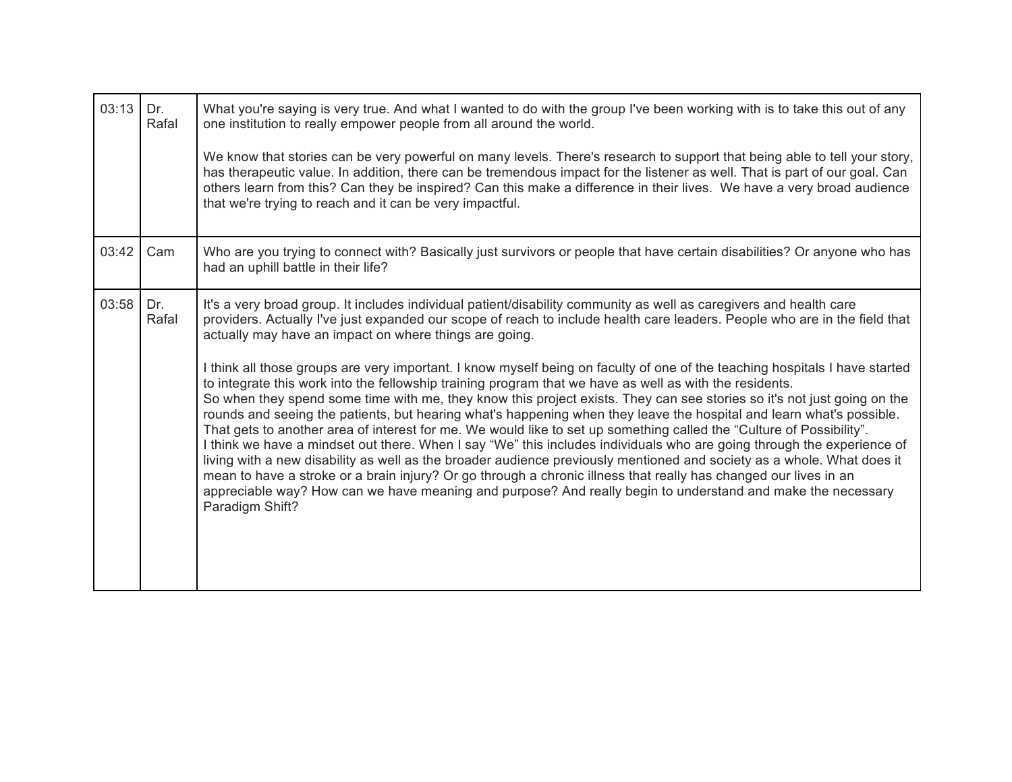| 03:13 | Dr.<br>Rafal | What you're saying is very true. And what I wanted to do with the group I've been working with is to take this out of any<br>one institution to really empower people from all around the world.<br>We know that stories can be very powerful on many levels. There's research to support that being able to tell your story,<br>has therapeutic value. In addition, there can be tremendous impact for the listener as well. That is part of our goal. Can<br>others learn from this? Can they be inspired? Can this make a difference in their lives. We have a very broad audience<br>that we're trying to reach and it can be very impactful.                                                                                                                                                                                                                                                                                                                                                                                                                                                                                                                                                                                                                                                                                                                                                                                         |
|-------|--------------|-------------------------------------------------------------------------------------------------------------------------------------------------------------------------------------------------------------------------------------------------------------------------------------------------------------------------------------------------------------------------------------------------------------------------------------------------------------------------------------------------------------------------------------------------------------------------------------------------------------------------------------------------------------------------------------------------------------------------------------------------------------------------------------------------------------------------------------------------------------------------------------------------------------------------------------------------------------------------------------------------------------------------------------------------------------------------------------------------------------------------------------------------------------------------------------------------------------------------------------------------------------------------------------------------------------------------------------------------------------------------------------------------------------------------------------------|
| 03:42 | Cam          | Who are you trying to connect with? Basically just survivors or people that have certain disabilities? Or anyone who has<br>had an uphill battle in their life?                                                                                                                                                                                                                                                                                                                                                                                                                                                                                                                                                                                                                                                                                                                                                                                                                                                                                                                                                                                                                                                                                                                                                                                                                                                                           |
| 03:58 | Dr.<br>Rafal | It's a very broad group. It includes individual patient/disability community as well as caregivers and health care<br>providers. Actually I've just expanded our scope of reach to include health care leaders. People who are in the field that<br>actually may have an impact on where things are going.<br>I think all those groups are very important. I know myself being on faculty of one of the teaching hospitals I have started<br>to integrate this work into the fellowship training program that we have as well as with the residents.<br>So when they spend some time with me, they know this project exists. They can see stories so it's not just going on the<br>rounds and seeing the patients, but hearing what's happening when they leave the hospital and learn what's possible.<br>That gets to another area of interest for me. We would like to set up something called the "Culture of Possibility".<br>I think we have a mindset out there. When I say "We" this includes individuals who are going through the experience of<br>living with a new disability as well as the broader audience previously mentioned and society as a whole. What does it<br>mean to have a stroke or a brain injury? Or go through a chronic illness that really has changed our lives in an<br>appreciable way? How can we have meaning and purpose? And really begin to understand and make the necessary<br>Paradigm Shift? |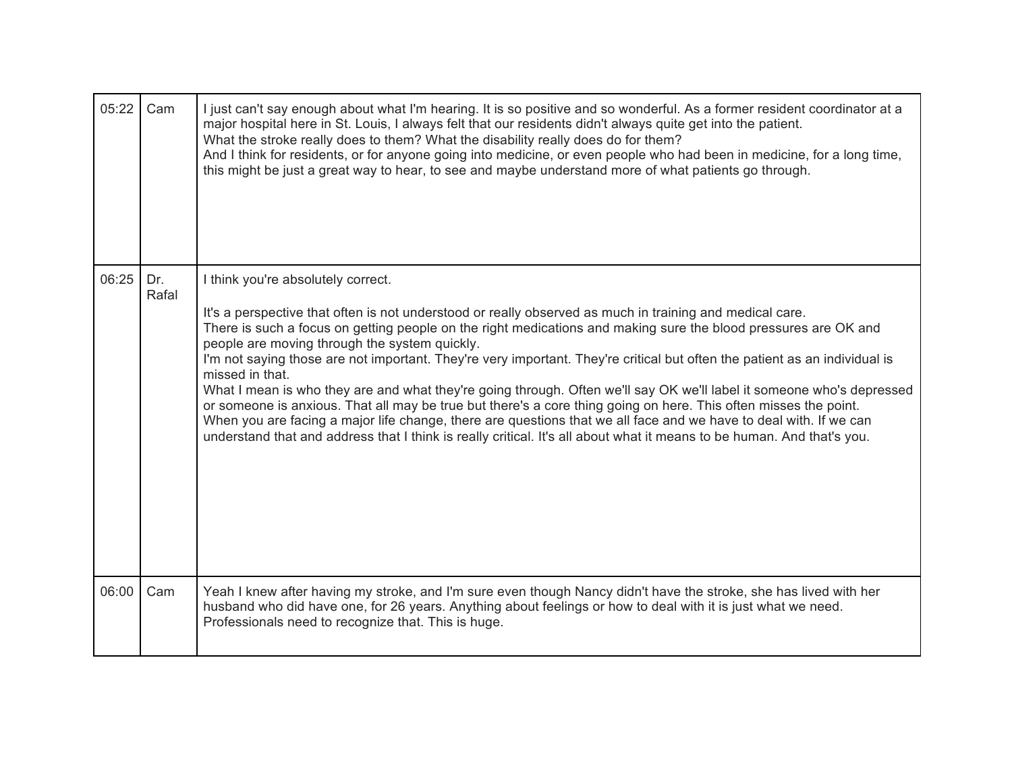| 05:22 | Cam          | I just can't say enough about what I'm hearing. It is so positive and so wonderful. As a former resident coordinator at a<br>major hospital here in St. Louis, I always felt that our residents didn't always quite get into the patient.<br>What the stroke really does to them? What the disability really does do for them?<br>And I think for residents, or for anyone going into medicine, or even people who had been in medicine, for a long time,<br>this might be just a great way to hear, to see and maybe understand more of what patients go through.                                                                                                                                                                                                                                                                                                                                                                                              |
|-------|--------------|-----------------------------------------------------------------------------------------------------------------------------------------------------------------------------------------------------------------------------------------------------------------------------------------------------------------------------------------------------------------------------------------------------------------------------------------------------------------------------------------------------------------------------------------------------------------------------------------------------------------------------------------------------------------------------------------------------------------------------------------------------------------------------------------------------------------------------------------------------------------------------------------------------------------------------------------------------------------|
| 06:25 | Dr.<br>Rafal | I think you're absolutely correct.<br>It's a perspective that often is not understood or really observed as much in training and medical care.<br>There is such a focus on getting people on the right medications and making sure the blood pressures are OK and<br>people are moving through the system quickly.<br>I'm not saying those are not important. They're very important. They're critical but often the patient as an individual is<br>missed in that.<br>What I mean is who they are and what they're going through. Often we'll say OK we'll label it someone who's depressed<br>or someone is anxious. That all may be true but there's a core thing going on here. This often misses the point.<br>When you are facing a major life change, there are questions that we all face and we have to deal with. If we can<br>understand that and address that I think is really critical. It's all about what it means to be human. And that's you. |
| 06:00 | Cam          | Yeah I knew after having my stroke, and I'm sure even though Nancy didn't have the stroke, she has lived with her<br>husband who did have one, for 26 years. Anything about feelings or how to deal with it is just what we need.<br>Professionals need to recognize that. This is huge.                                                                                                                                                                                                                                                                                                                                                                                                                                                                                                                                                                                                                                                                        |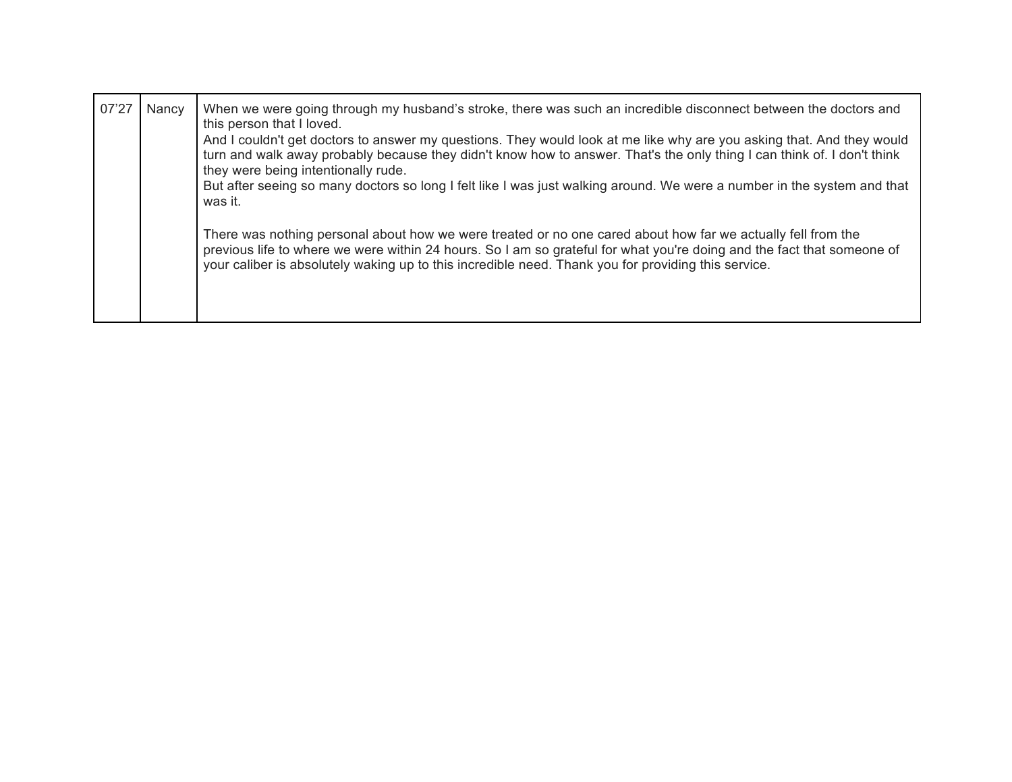| 07'27 | Nancy | When we were going through my husband's stroke, there was such an incredible disconnect between the doctors and<br>this person that I loved.<br>And I couldn't get doctors to answer my questions. They would look at me like why are you asking that. And they would<br>turn and walk away probably because they didn't know how to answer. That's the only thing I can think of. I don't think<br>they were being intentionally rude.<br>But after seeing so many doctors so long I felt like I was just walking around. We were a number in the system and that<br>was it. |
|-------|-------|-------------------------------------------------------------------------------------------------------------------------------------------------------------------------------------------------------------------------------------------------------------------------------------------------------------------------------------------------------------------------------------------------------------------------------------------------------------------------------------------------------------------------------------------------------------------------------|
|       |       | There was nothing personal about how we were treated or no one cared about how far we actually fell from the<br>previous life to where we were within 24 hours. So I am so grateful for what you're doing and the fact that someone of<br>your caliber is absolutely waking up to this incredible need. Thank you for providing this service.                                                                                                                                                                                                                                 |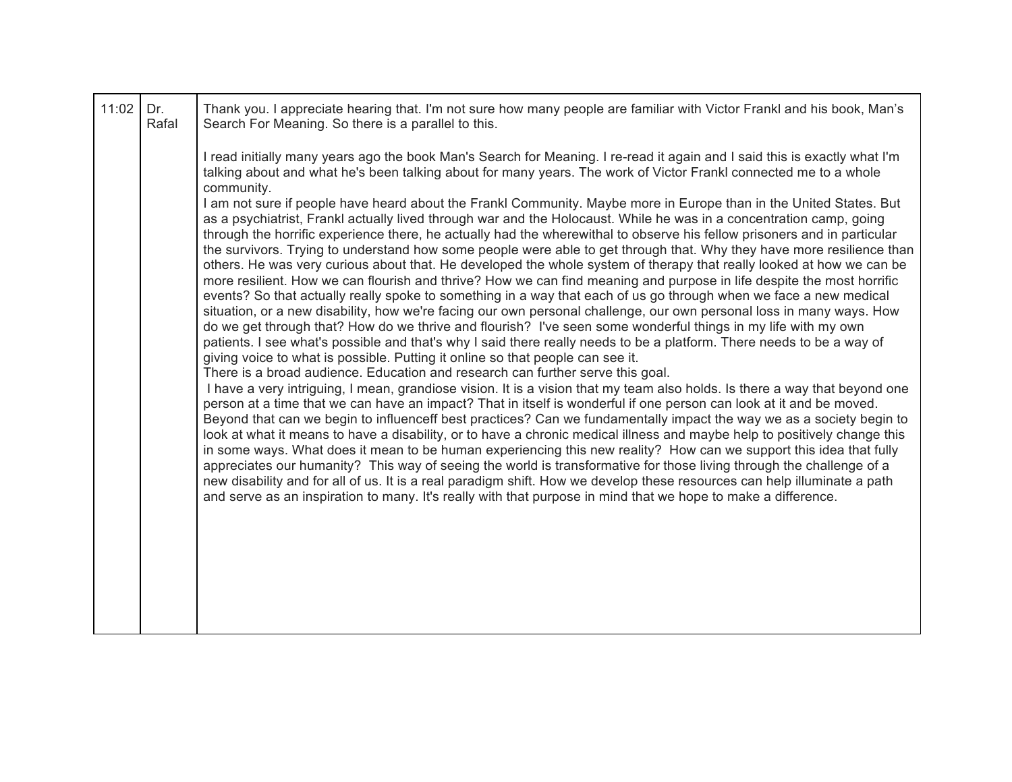| 11:02 | Dr.<br>Rafal | Thank you. I appreciate hearing that. I'm not sure how many people are familiar with Victor Frankl and his book, Man's<br>Search For Meaning. So there is a parallel to this.                                                                                                                                                                                                                                                                                                                                                                                                                                                                                                                                                                                                                                                                                                                                                                                                                                                                                                                                                                                                                                                                                                                                                                                                                                                                                                                                                                                                                                                                                                                                                                                                                                                                                                                                                                                                                                                                                                                                                                                                                                                                                                                                                                                                                                                 |
|-------|--------------|-------------------------------------------------------------------------------------------------------------------------------------------------------------------------------------------------------------------------------------------------------------------------------------------------------------------------------------------------------------------------------------------------------------------------------------------------------------------------------------------------------------------------------------------------------------------------------------------------------------------------------------------------------------------------------------------------------------------------------------------------------------------------------------------------------------------------------------------------------------------------------------------------------------------------------------------------------------------------------------------------------------------------------------------------------------------------------------------------------------------------------------------------------------------------------------------------------------------------------------------------------------------------------------------------------------------------------------------------------------------------------------------------------------------------------------------------------------------------------------------------------------------------------------------------------------------------------------------------------------------------------------------------------------------------------------------------------------------------------------------------------------------------------------------------------------------------------------------------------------------------------------------------------------------------------------------------------------------------------------------------------------------------------------------------------------------------------------------------------------------------------------------------------------------------------------------------------------------------------------------------------------------------------------------------------------------------------------------------------------------------------------------------------------------------------|
|       |              | I read initially many years ago the book Man's Search for Meaning. I re-read it again and I said this is exactly what I'm<br>talking about and what he's been talking about for many years. The work of Victor Frankl connected me to a whole                                                                                                                                                                                                                                                                                                                                                                                                                                                                                                                                                                                                                                                                                                                                                                                                                                                                                                                                                                                                                                                                                                                                                                                                                                                                                                                                                                                                                                                                                                                                                                                                                                                                                                                                                                                                                                                                                                                                                                                                                                                                                                                                                                                 |
|       |              | community.<br>I am not sure if people have heard about the Frankl Community. Maybe more in Europe than in the United States. But<br>as a psychiatrist, Frankl actually lived through war and the Holocaust. While he was in a concentration camp, going<br>through the horrific experience there, he actually had the wherewithal to observe his fellow prisoners and in particular<br>the survivors. Trying to understand how some people were able to get through that. Why they have more resilience than<br>others. He was very curious about that. He developed the whole system of therapy that really looked at how we can be<br>more resilient. How we can flourish and thrive? How we can find meaning and purpose in life despite the most horrific<br>events? So that actually really spoke to something in a way that each of us go through when we face a new medical<br>situation, or a new disability, how we're facing our own personal challenge, our own personal loss in many ways. How<br>do we get through that? How do we thrive and flourish? I've seen some wonderful things in my life with my own<br>patients. I see what's possible and that's why I said there really needs to be a platform. There needs to be a way of<br>giving voice to what is possible. Putting it online so that people can see it.<br>There is a broad audience. Education and research can further serve this goal.<br>I have a very intriguing, I mean, grandiose vision. It is a vision that my team also holds. Is there a way that beyond one<br>person at a time that we can have an impact? That in itself is wonderful if one person can look at it and be moved.<br>Beyond that can we begin to influenceff best practices? Can we fundamentally impact the way we as a society begin to<br>look at what it means to have a disability, or to have a chronic medical illness and maybe help to positively change this<br>in some ways. What does it mean to be human experiencing this new reality? How can we support this idea that fully<br>appreciates our humanity? This way of seeing the world is transformative for those living through the challenge of a<br>new disability and for all of us. It is a real paradigm shift. How we develop these resources can help illuminate a path<br>and serve as an inspiration to many. It's really with that purpose in mind that we hope to make a difference. |
|       |              |                                                                                                                                                                                                                                                                                                                                                                                                                                                                                                                                                                                                                                                                                                                                                                                                                                                                                                                                                                                                                                                                                                                                                                                                                                                                                                                                                                                                                                                                                                                                                                                                                                                                                                                                                                                                                                                                                                                                                                                                                                                                                                                                                                                                                                                                                                                                                                                                                               |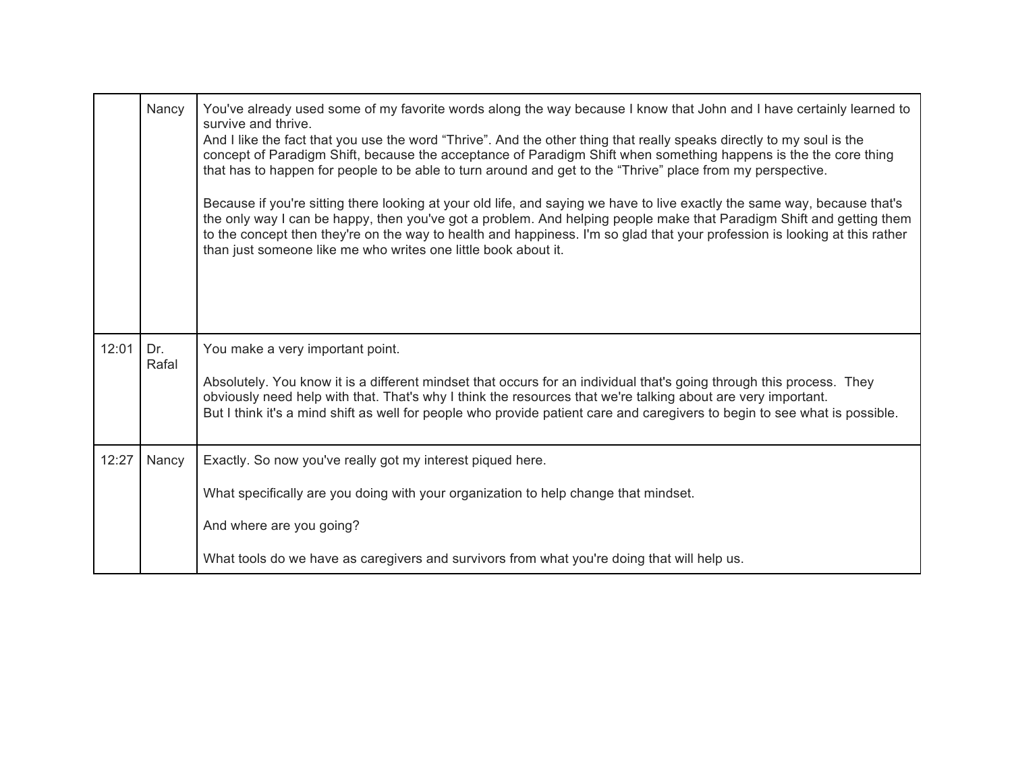|       | Nancy        | You've already used some of my favorite words along the way because I know that John and I have certainly learned to<br>survive and thrive.<br>And I like the fact that you use the word "Thrive". And the other thing that really speaks directly to my soul is the<br>concept of Paradigm Shift, because the acceptance of Paradigm Shift when something happens is the the core thing<br>that has to happen for people to be able to turn around and get to the "Thrive" place from my perspective.<br>Because if you're sitting there looking at your old life, and saying we have to live exactly the same way, because that's<br>the only way I can be happy, then you've got a problem. And helping people make that Paradigm Shift and getting them<br>to the concept then they're on the way to health and happiness. I'm so glad that your profession is looking at this rather<br>than just someone like me who writes one little book about it. |
|-------|--------------|-------------------------------------------------------------------------------------------------------------------------------------------------------------------------------------------------------------------------------------------------------------------------------------------------------------------------------------------------------------------------------------------------------------------------------------------------------------------------------------------------------------------------------------------------------------------------------------------------------------------------------------------------------------------------------------------------------------------------------------------------------------------------------------------------------------------------------------------------------------------------------------------------------------------------------------------------------------|
| 12:01 | Dr.<br>Rafal | You make a very important point.<br>Absolutely. You know it is a different mindset that occurs for an individual that's going through this process. They<br>obviously need help with that. That's why I think the resources that we're talking about are very important.<br>But I think it's a mind shift as well for people who provide patient care and caregivers to begin to see what is possible.                                                                                                                                                                                                                                                                                                                                                                                                                                                                                                                                                      |
| 12:27 | Nancy        | Exactly. So now you've really got my interest piqued here.<br>What specifically are you doing with your organization to help change that mindset.<br>And where are you going?<br>What tools do we have as caregivers and survivors from what you're doing that will help us.                                                                                                                                                                                                                                                                                                                                                                                                                                                                                                                                                                                                                                                                                |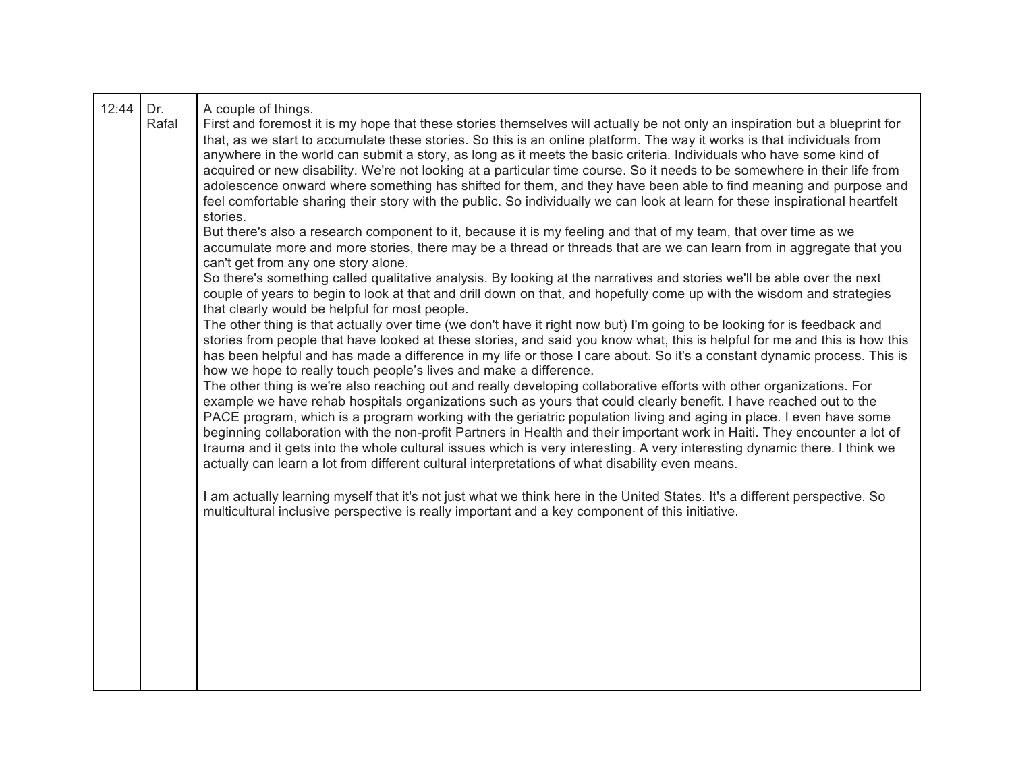| 12:44 | Dr.<br>Rafal | A couple of things.<br>First and foremost it is my hope that these stories themselves will actually be not only an inspiration but a blueprint for<br>that, as we start to accumulate these stories. So this is an online platform. The way it works is that individuals from<br>anywhere in the world can submit a story, as long as it meets the basic criteria. Individuals who have some kind of<br>acquired or new disability. We're not looking at a particular time course. So it needs to be somewhere in their life from<br>adolescence onward where something has shifted for them, and they have been able to find meaning and purpose and<br>feel comfortable sharing their story with the public. So individually we can look at learn for these inspirational heartfelt<br>stories.<br>But there's also a research component to it, because it is my feeling and that of my team, that over time as we<br>accumulate more and more stories, there may be a thread or threads that are we can learn from in aggregate that you<br>can't get from any one story alone.<br>So there's something called qualitative analysis. By looking at the narratives and stories we'll be able over the next<br>couple of years to begin to look at that and drill down on that, and hopefully come up with the wisdom and strategies<br>that clearly would be helpful for most people.<br>The other thing is that actually over time (we don't have it right now but) I'm going to be looking for is feedback and<br>stories from people that have looked at these stories, and said you know what, this is helpful for me and this is how this<br>has been helpful and has made a difference in my life or those I care about. So it's a constant dynamic process. This is<br>how we hope to really touch people's lives and make a difference.<br>The other thing is we're also reaching out and really developing collaborative efforts with other organizations. For<br>example we have rehab hospitals organizations such as yours that could clearly benefit. I have reached out to the<br>PACE program, which is a program working with the geriatric population living and aging in place. I even have some<br>beginning collaboration with the non-profit Partners in Health and their important work in Haiti. They encounter a lot of<br>trauma and it gets into the whole cultural issues which is very interesting. A very interesting dynamic there. I think we<br>actually can learn a lot from different cultural interpretations of what disability even means.<br>I am actually learning myself that it's not just what we think here in the United States. It's a different perspective. So<br>multicultural inclusive perspective is really important and a key component of this initiative. |
|-------|--------------|--------------------------------------------------------------------------------------------------------------------------------------------------------------------------------------------------------------------------------------------------------------------------------------------------------------------------------------------------------------------------------------------------------------------------------------------------------------------------------------------------------------------------------------------------------------------------------------------------------------------------------------------------------------------------------------------------------------------------------------------------------------------------------------------------------------------------------------------------------------------------------------------------------------------------------------------------------------------------------------------------------------------------------------------------------------------------------------------------------------------------------------------------------------------------------------------------------------------------------------------------------------------------------------------------------------------------------------------------------------------------------------------------------------------------------------------------------------------------------------------------------------------------------------------------------------------------------------------------------------------------------------------------------------------------------------------------------------------------------------------------------------------------------------------------------------------------------------------------------------------------------------------------------------------------------------------------------------------------------------------------------------------------------------------------------------------------------------------------------------------------------------------------------------------------------------------------------------------------------------------------------------------------------------------------------------------------------------------------------------------------------------------------------------------------------------------------------------------------------------------------------------------------------------------------------------------------------------------------------------------------------------------------------------------------------------------------------------------------------------------------------------------------------------------------------------------|
|       |              |                                                                                                                                                                                                                                                                                                                                                                                                                                                                                                                                                                                                                                                                                                                                                                                                                                                                                                                                                                                                                                                                                                                                                                                                                                                                                                                                                                                                                                                                                                                                                                                                                                                                                                                                                                                                                                                                                                                                                                                                                                                                                                                                                                                                                                                                                                                                                                                                                                                                                                                                                                                                                                                                                                                                                                                                                    |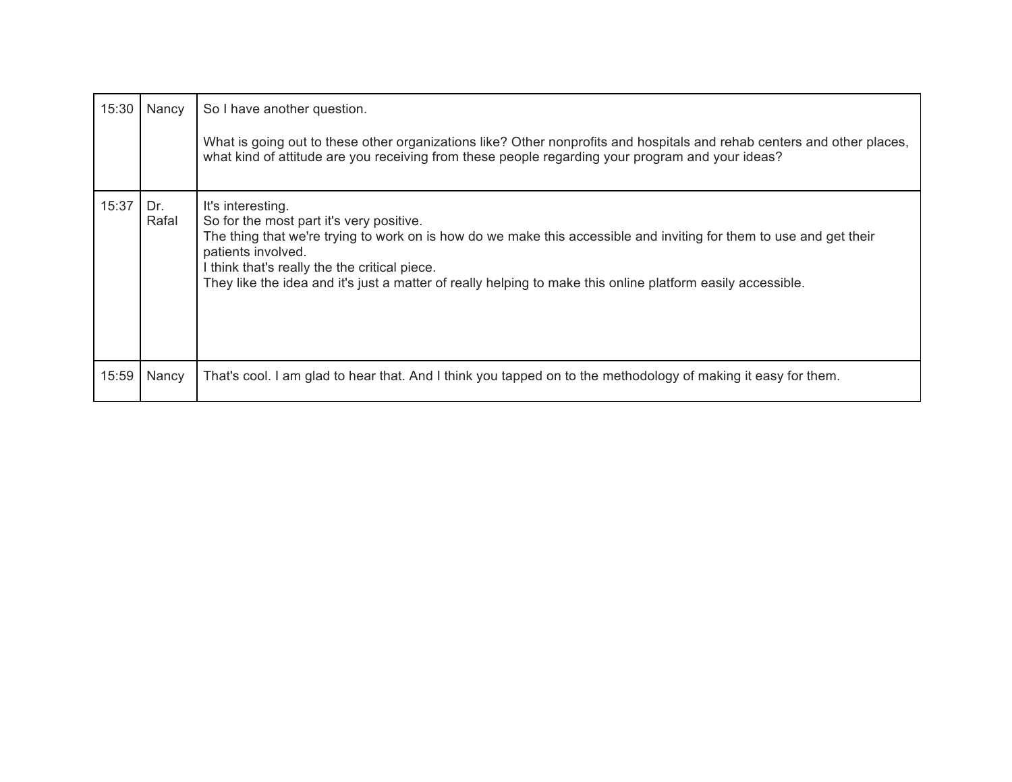| 15:30 | Nancy        | So I have another question.<br>What is going out to these other organizations like? Other nonprofits and hospitals and rehab centers and other places,<br>what kind of attitude are you receiving from these people regarding your program and your ideas?                                                                                                                 |
|-------|--------------|----------------------------------------------------------------------------------------------------------------------------------------------------------------------------------------------------------------------------------------------------------------------------------------------------------------------------------------------------------------------------|
| 15:37 | Dr.<br>Rafal | It's interesting.<br>So for the most part it's very positive.<br>The thing that we're trying to work on is how do we make this accessible and inviting for them to use and get their<br>patients involved.<br>I think that's really the the critical piece.<br>They like the idea and it's just a matter of really helping to make this online platform easily accessible. |
| 15:59 | Nancy        | That's cool. I am glad to hear that. And I think you tapped on to the methodology of making it easy for them.                                                                                                                                                                                                                                                              |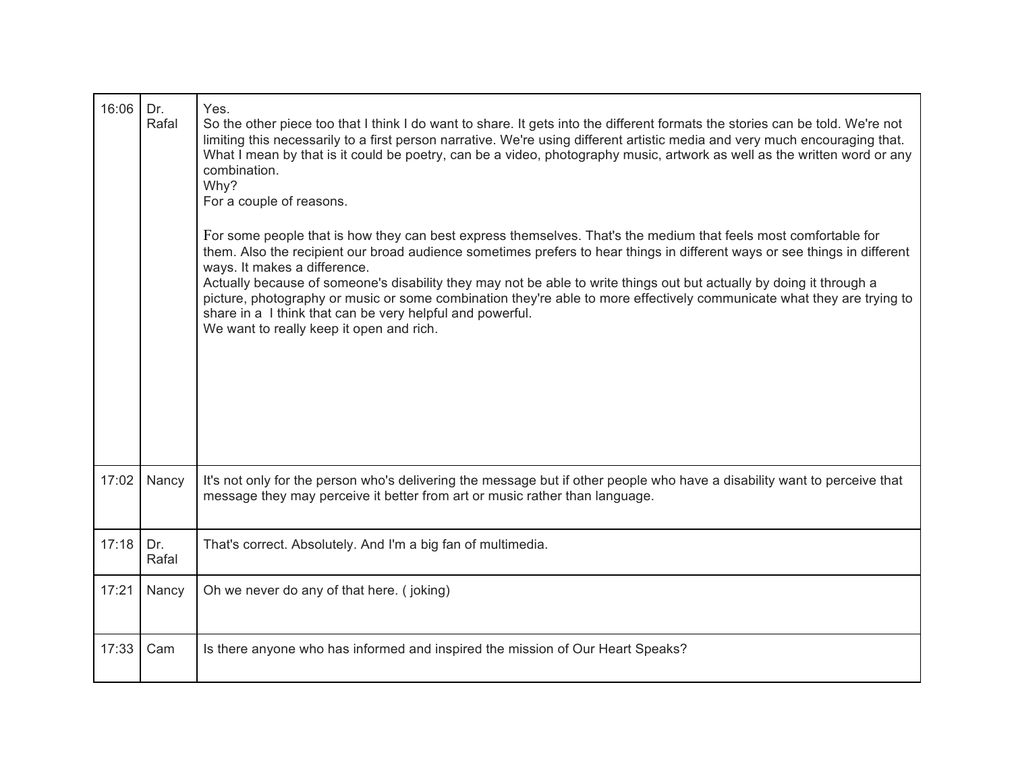| 16:06 | Dr.<br>Rafal | Yes.<br>So the other piece too that I think I do want to share. It gets into the different formats the stories can be told. We're not<br>limiting this necessarily to a first person narrative. We're using different artistic media and very much encouraging that.<br>What I mean by that is it could be poetry, can be a video, photography music, artwork as well as the written word or any<br>combination.<br>Why?<br>For a couple of reasons.<br>For some people that is how they can best express themselves. That's the medium that feels most comfortable for<br>them. Also the recipient our broad audience sometimes prefers to hear things in different ways or see things in different<br>ways. It makes a difference.<br>Actually because of someone's disability they may not be able to write things out but actually by doing it through a<br>picture, photography or music or some combination they're able to more effectively communicate what they are trying to<br>share in a I think that can be very helpful and powerful.<br>We want to really keep it open and rich. |
|-------|--------------|-------------------------------------------------------------------------------------------------------------------------------------------------------------------------------------------------------------------------------------------------------------------------------------------------------------------------------------------------------------------------------------------------------------------------------------------------------------------------------------------------------------------------------------------------------------------------------------------------------------------------------------------------------------------------------------------------------------------------------------------------------------------------------------------------------------------------------------------------------------------------------------------------------------------------------------------------------------------------------------------------------------------------------------------------------------------------------------------------|
| 17:02 | Nancy        | It's not only for the person who's delivering the message but if other people who have a disability want to perceive that<br>message they may perceive it better from art or music rather than language.                                                                                                                                                                                                                                                                                                                                                                                                                                                                                                                                                                                                                                                                                                                                                                                                                                                                                        |
| 17:18 | Dr.<br>Rafal | That's correct. Absolutely. And I'm a big fan of multimedia.                                                                                                                                                                                                                                                                                                                                                                                                                                                                                                                                                                                                                                                                                                                                                                                                                                                                                                                                                                                                                                    |
| 17:21 | Nancy        | Oh we never do any of that here. (joking)                                                                                                                                                                                                                                                                                                                                                                                                                                                                                                                                                                                                                                                                                                                                                                                                                                                                                                                                                                                                                                                       |
| 17:33 | Cam          | Is there anyone who has informed and inspired the mission of Our Heart Speaks?                                                                                                                                                                                                                                                                                                                                                                                                                                                                                                                                                                                                                                                                                                                                                                                                                                                                                                                                                                                                                  |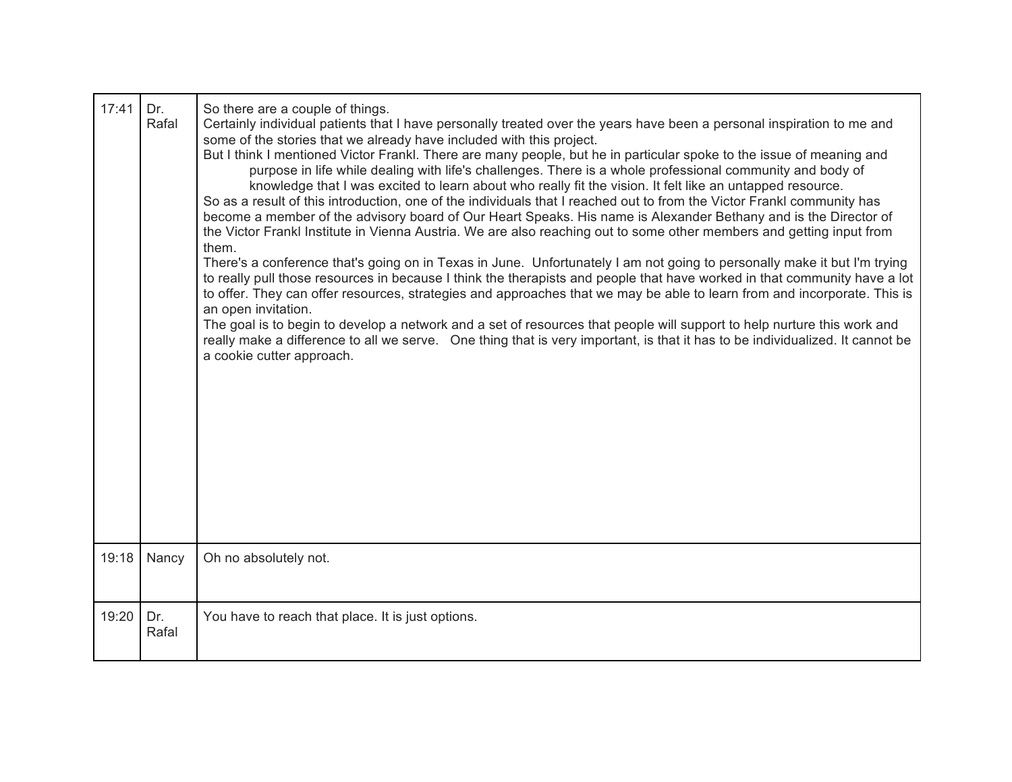| 17:41 | Dr.<br>Rafal | So there are a couple of things.<br>Certainly individual patients that I have personally treated over the years have been a personal inspiration to me and<br>some of the stories that we already have included with this project.<br>But I think I mentioned Victor Frankl. There are many people, but he in particular spoke to the issue of meaning and<br>purpose in life while dealing with life's challenges. There is a whole professional community and body of<br>knowledge that I was excited to learn about who really fit the vision. It felt like an untapped resource.<br>So as a result of this introduction, one of the individuals that I reached out to from the Victor Frankl community has<br>become a member of the advisory board of Our Heart Speaks. His name is Alexander Bethany and is the Director of<br>the Victor Frankl Institute in Vienna Austria. We are also reaching out to some other members and getting input from<br>them.<br>There's a conference that's going on in Texas in June. Unfortunately I am not going to personally make it but I'm trying<br>to really pull those resources in because I think the therapists and people that have worked in that community have a lot<br>to offer. They can offer resources, strategies and approaches that we may be able to learn from and incorporate. This is<br>an open invitation.<br>The goal is to begin to develop a network and a set of resources that people will support to help nurture this work and<br>really make a difference to all we serve. One thing that is very important, is that it has to be individualized. It cannot be<br>a cookie cutter approach. |
|-------|--------------|-------------------------------------------------------------------------------------------------------------------------------------------------------------------------------------------------------------------------------------------------------------------------------------------------------------------------------------------------------------------------------------------------------------------------------------------------------------------------------------------------------------------------------------------------------------------------------------------------------------------------------------------------------------------------------------------------------------------------------------------------------------------------------------------------------------------------------------------------------------------------------------------------------------------------------------------------------------------------------------------------------------------------------------------------------------------------------------------------------------------------------------------------------------------------------------------------------------------------------------------------------------------------------------------------------------------------------------------------------------------------------------------------------------------------------------------------------------------------------------------------------------------------------------------------------------------------------------------------------------------------------------------------------------------------|
| 19:18 | Nancy        | Oh no absolutely not.                                                                                                                                                                                                                                                                                                                                                                                                                                                                                                                                                                                                                                                                                                                                                                                                                                                                                                                                                                                                                                                                                                                                                                                                                                                                                                                                                                                                                                                                                                                                                                                                                                                   |
| 19:20 | Dr.<br>Rafal | You have to reach that place. It is just options.                                                                                                                                                                                                                                                                                                                                                                                                                                                                                                                                                                                                                                                                                                                                                                                                                                                                                                                                                                                                                                                                                                                                                                                                                                                                                                                                                                                                                                                                                                                                                                                                                       |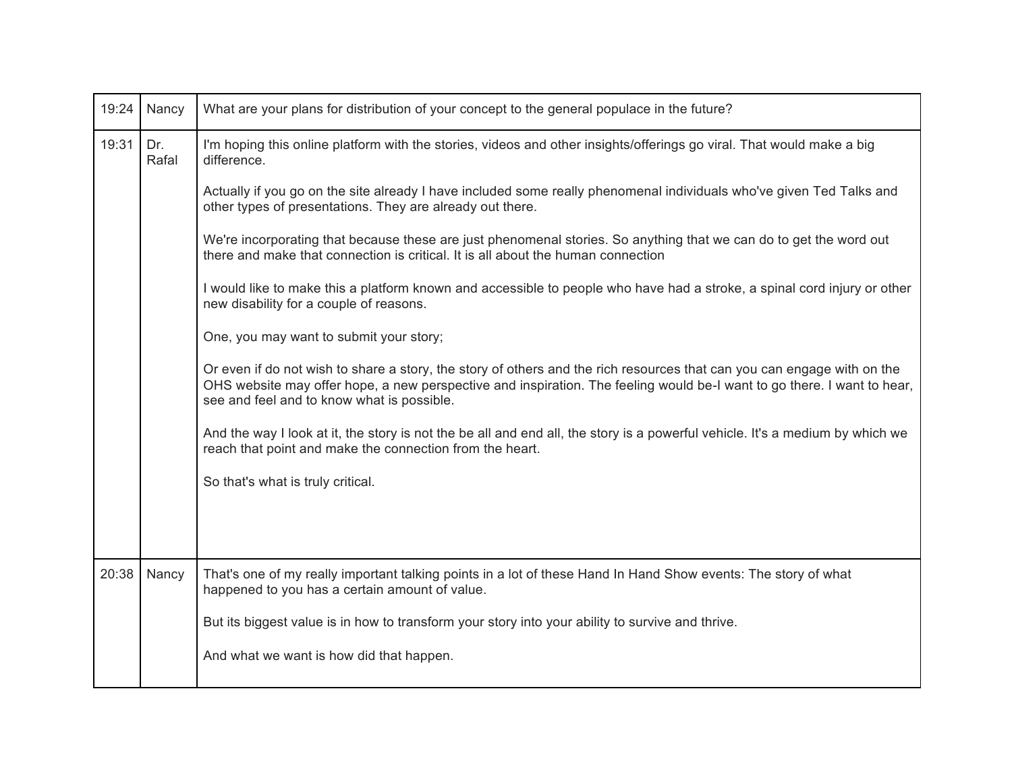| 19:24 | Nancy        | What are your plans for distribution of your concept to the general populace in the future?                                                                                                                                                                                                      |
|-------|--------------|--------------------------------------------------------------------------------------------------------------------------------------------------------------------------------------------------------------------------------------------------------------------------------------------------|
| 19:31 | Dr.<br>Rafal | I'm hoping this online platform with the stories, videos and other insights/offerings go viral. That would make a big<br>difference.                                                                                                                                                             |
|       |              | Actually if you go on the site already I have included some really phenomenal individuals who've given Ted Talks and<br>other types of presentations. They are already out there.                                                                                                                |
|       |              | We're incorporating that because these are just phenomenal stories. So anything that we can do to get the word out<br>there and make that connection is critical. It is all about the human connection                                                                                           |
|       |              | I would like to make this a platform known and accessible to people who have had a stroke, a spinal cord injury or other<br>new disability for a couple of reasons.                                                                                                                              |
|       |              | One, you may want to submit your story;                                                                                                                                                                                                                                                          |
|       |              | Or even if do not wish to share a story, the story of others and the rich resources that can you can engage with on the<br>OHS website may offer hope, a new perspective and inspiration. The feeling would be-I want to go there. I want to hear,<br>see and feel and to know what is possible. |
|       |              | And the way I look at it, the story is not the be all and end all, the story is a powerful vehicle. It's a medium by which we<br>reach that point and make the connection from the heart.                                                                                                        |
|       |              | So that's what is truly critical.                                                                                                                                                                                                                                                                |
|       |              |                                                                                                                                                                                                                                                                                                  |
|       |              |                                                                                                                                                                                                                                                                                                  |
| 20:38 | Nancy        | That's one of my really important talking points in a lot of these Hand In Hand Show events: The story of what<br>happened to you has a certain amount of value.                                                                                                                                 |
|       |              | But its biggest value is in how to transform your story into your ability to survive and thrive.                                                                                                                                                                                                 |
|       |              | And what we want is how did that happen.                                                                                                                                                                                                                                                         |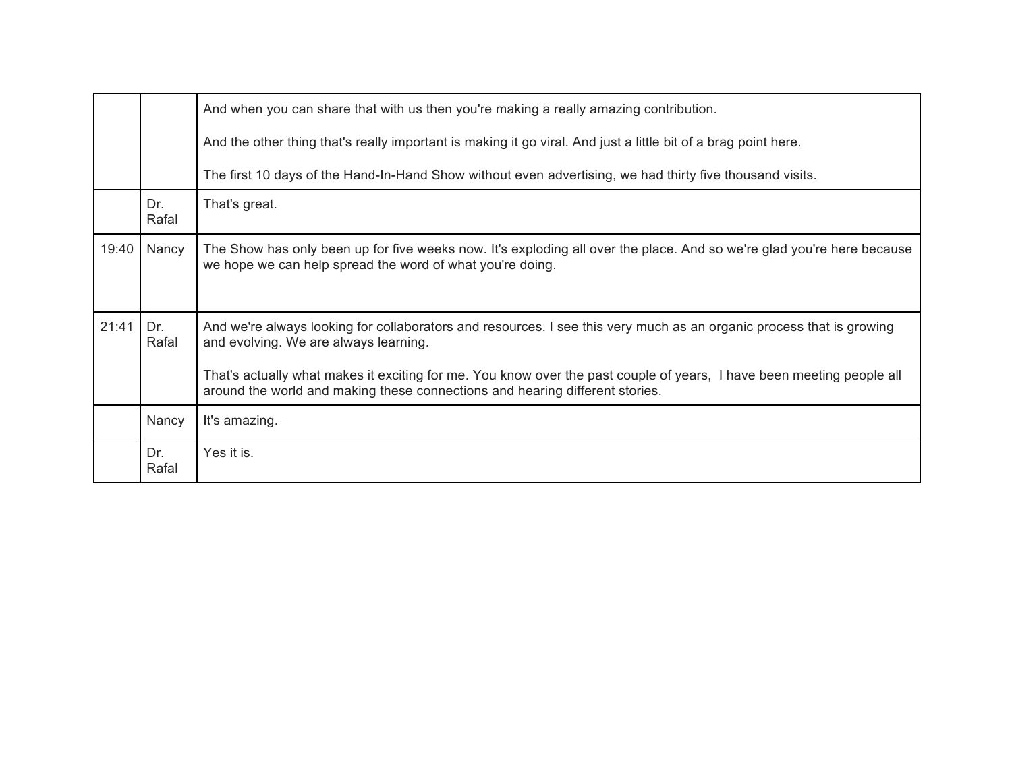|       |              | And when you can share that with us then you're making a really amazing contribution.                                                                                                                 |
|-------|--------------|-------------------------------------------------------------------------------------------------------------------------------------------------------------------------------------------------------|
|       |              | And the other thing that's really important is making it go viral. And just a little bit of a brag point here.                                                                                        |
|       |              | The first 10 days of the Hand-In-Hand Show without even advertising, we had thirty five thousand visits.                                                                                              |
|       | Dr.<br>Rafal | That's great.                                                                                                                                                                                         |
| 19:40 | Nancy        | The Show has only been up for five weeks now. It's exploding all over the place. And so we're glad you're here because<br>we hope we can help spread the word of what you're doing.                   |
| 21:41 | Dr.<br>Rafal | And we're always looking for collaborators and resources. I see this very much as an organic process that is growing<br>and evolving. We are always learning.                                         |
|       |              | That's actually what makes it exciting for me. You know over the past couple of years, I have been meeting people all<br>around the world and making these connections and hearing different stories. |
|       | Nancy        | It's amazing.                                                                                                                                                                                         |
|       | Dr.<br>Rafal | Yes it is.                                                                                                                                                                                            |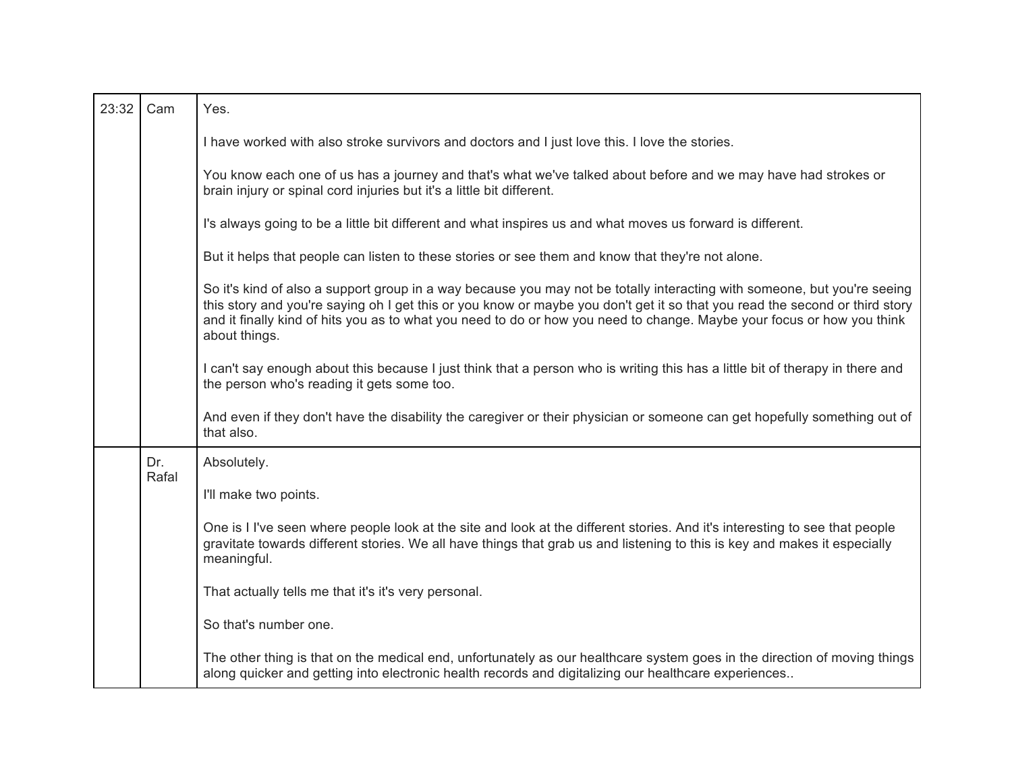| 23:32 | Cam          | Yes.                                                                                                                                                                                                                                                                                                                                                                                               |
|-------|--------------|----------------------------------------------------------------------------------------------------------------------------------------------------------------------------------------------------------------------------------------------------------------------------------------------------------------------------------------------------------------------------------------------------|
|       |              | I have worked with also stroke survivors and doctors and I just love this. I love the stories.                                                                                                                                                                                                                                                                                                     |
|       |              | You know each one of us has a journey and that's what we've talked about before and we may have had strokes or<br>brain injury or spinal cord injuries but it's a little bit different.                                                                                                                                                                                                            |
|       |              | I's always going to be a little bit different and what inspires us and what moves us forward is different.                                                                                                                                                                                                                                                                                         |
|       |              | But it helps that people can listen to these stories or see them and know that they're not alone.                                                                                                                                                                                                                                                                                                  |
|       |              | So it's kind of also a support group in a way because you may not be totally interacting with someone, but you're seeing<br>this story and you're saying oh I get this or you know or maybe you don't get it so that you read the second or third story<br>and it finally kind of hits you as to what you need to do or how you need to change. Maybe your focus or how you think<br>about things. |
|       |              | I can't say enough about this because I just think that a person who is writing this has a little bit of therapy in there and<br>the person who's reading it gets some too.                                                                                                                                                                                                                        |
|       |              | And even if they don't have the disability the caregiver or their physician or someone can get hopefully something out of<br>that also.                                                                                                                                                                                                                                                            |
|       | Dr.<br>Rafal | Absolutely.                                                                                                                                                                                                                                                                                                                                                                                        |
|       |              | I'll make two points.                                                                                                                                                                                                                                                                                                                                                                              |
|       |              | One is I I've seen where people look at the site and look at the different stories. And it's interesting to see that people<br>gravitate towards different stories. We all have things that grab us and listening to this is key and makes it especially<br>meaningful.                                                                                                                            |
|       |              | That actually tells me that it's it's very personal.                                                                                                                                                                                                                                                                                                                                               |
|       |              | So that's number one.                                                                                                                                                                                                                                                                                                                                                                              |
|       |              | The other thing is that on the medical end, unfortunately as our healthcare system goes in the direction of moving things<br>along quicker and getting into electronic health records and digitalizing our healthcare experiences                                                                                                                                                                  |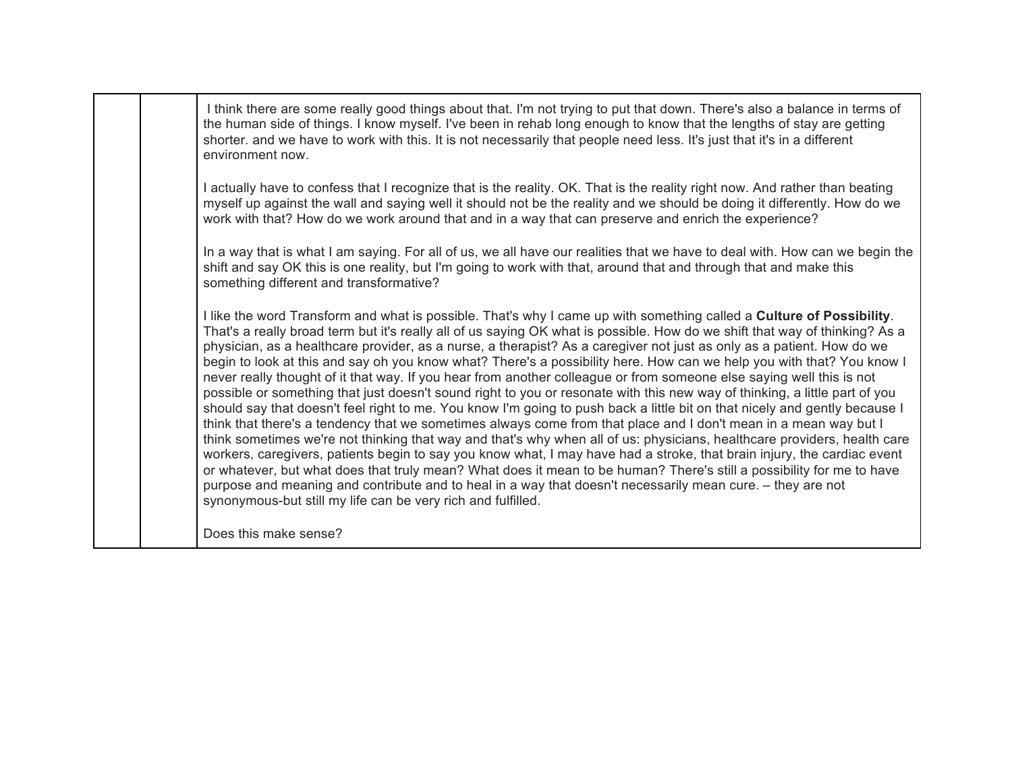| I think there are some really good things about that. I'm not trying to put that down. There's also a balance in terms of<br>the human side of things. I know myself. I've been in rehab long enough to know that the lengths of stay are getting<br>shorter, and we have to work with this. It is not necessarily that people need less. It's just that it's in a different<br>environment now.                                                                                                                                                                                                                                                                                                                                                                                                                                                                                                                                                                                                                                                                                                                                                                                                                                                                                                                                                                                                                                                                                                                                                                            |
|-----------------------------------------------------------------------------------------------------------------------------------------------------------------------------------------------------------------------------------------------------------------------------------------------------------------------------------------------------------------------------------------------------------------------------------------------------------------------------------------------------------------------------------------------------------------------------------------------------------------------------------------------------------------------------------------------------------------------------------------------------------------------------------------------------------------------------------------------------------------------------------------------------------------------------------------------------------------------------------------------------------------------------------------------------------------------------------------------------------------------------------------------------------------------------------------------------------------------------------------------------------------------------------------------------------------------------------------------------------------------------------------------------------------------------------------------------------------------------------------------------------------------------------------------------------------------------|
| I actually have to confess that I recognize that is the reality. OK. That is the reality right now. And rather than beating<br>myself up against the wall and saying well it should not be the reality and we should be doing it differently. How do we<br>work with that? How do we work around that and in a way that can preserve and enrich the experience?                                                                                                                                                                                                                                                                                                                                                                                                                                                                                                                                                                                                                                                                                                                                                                                                                                                                                                                                                                                                                                                                                                                                                                                                             |
| In a way that is what I am saying. For all of us, we all have our realities that we have to deal with. How can we begin the<br>shift and say OK this is one reality, but I'm going to work with that, around that and through that and make this<br>something different and transformative?                                                                                                                                                                                                                                                                                                                                                                                                                                                                                                                                                                                                                                                                                                                                                                                                                                                                                                                                                                                                                                                                                                                                                                                                                                                                                 |
| I like the word Transform and what is possible. That's why I came up with something called a Culture of Possibility.<br>That's a really broad term but it's really all of us saying OK what is possible. How do we shift that way of thinking? As a<br>physician, as a healthcare provider, as a nurse, a therapist? As a caregiver not just as only as a patient. How do we<br>begin to look at this and say oh you know what? There's a possibility here. How can we help you with that? You know I<br>never really thought of it that way. If you hear from another colleague or from someone else saying well this is not<br>possible or something that just doesn't sound right to you or resonate with this new way of thinking, a little part of you<br>should say that doesn't feel right to me. You know I'm going to push back a little bit on that nicely and gently because I<br>think that there's a tendency that we sometimes always come from that place and I don't mean in a mean way but I<br>think sometimes we're not thinking that way and that's why when all of us: physicians, healthcare providers, health care<br>workers, caregivers, patients begin to say you know what, I may have had a stroke, that brain injury, the cardiac event<br>or whatever, but what does that truly mean? What does it mean to be human? There's still a possibility for me to have<br>purpose and meaning and contribute and to heal in a way that doesn't necessarily mean cure. - they are not<br>synonymous-but still my life can be very rich and fulfilled. |
| Does this make sense?                                                                                                                                                                                                                                                                                                                                                                                                                                                                                                                                                                                                                                                                                                                                                                                                                                                                                                                                                                                                                                                                                                                                                                                                                                                                                                                                                                                                                                                                                                                                                       |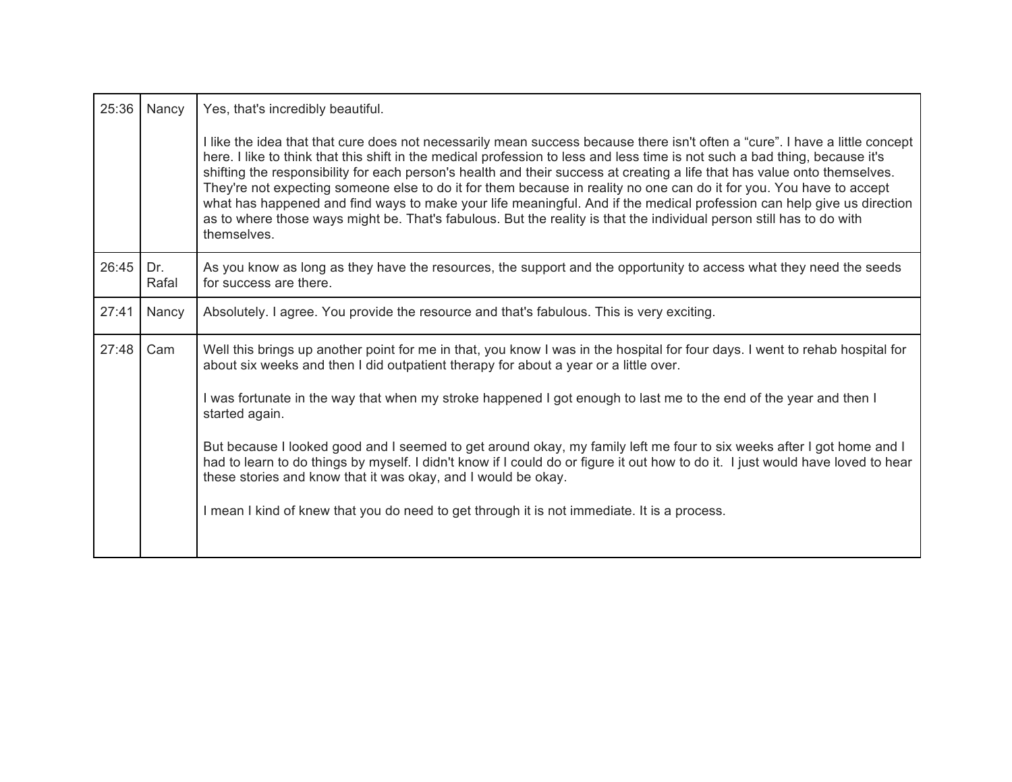| 25:36 | Nancy        | Yes, that's incredibly beautiful.                                                                                                                                                                                                                                                                                                                                                                                                                                                                                                                                                                                                                                                                                                                                                 |
|-------|--------------|-----------------------------------------------------------------------------------------------------------------------------------------------------------------------------------------------------------------------------------------------------------------------------------------------------------------------------------------------------------------------------------------------------------------------------------------------------------------------------------------------------------------------------------------------------------------------------------------------------------------------------------------------------------------------------------------------------------------------------------------------------------------------------------|
|       |              | I like the idea that that cure does not necessarily mean success because there isn't often a "cure". I have a little concept<br>here. I like to think that this shift in the medical profession to less and less time is not such a bad thing, because it's<br>shifting the responsibility for each person's health and their success at creating a life that has value onto themselves.<br>They're not expecting someone else to do it for them because in reality no one can do it for you. You have to accept<br>what has happened and find ways to make your life meaningful. And if the medical profession can help give us direction<br>as to where those ways might be. That's fabulous. But the reality is that the individual person still has to do with<br>themselves. |
| 26:45 | Dr.<br>Rafal | As you know as long as they have the resources, the support and the opportunity to access what they need the seeds<br>for success are there.                                                                                                                                                                                                                                                                                                                                                                                                                                                                                                                                                                                                                                      |
| 27:41 | Nancy        | Absolutely. I agree. You provide the resource and that's fabulous. This is very exciting.                                                                                                                                                                                                                                                                                                                                                                                                                                                                                                                                                                                                                                                                                         |
| 27:48 | Cam          | Well this brings up another point for me in that, you know I was in the hospital for four days. I went to rehab hospital for<br>about six weeks and then I did outpatient therapy for about a year or a little over.                                                                                                                                                                                                                                                                                                                                                                                                                                                                                                                                                              |
|       |              | I was fortunate in the way that when my stroke happened I got enough to last me to the end of the year and then I<br>started again.                                                                                                                                                                                                                                                                                                                                                                                                                                                                                                                                                                                                                                               |
|       |              | But because I looked good and I seemed to get around okay, my family left me four to six weeks after I got home and I<br>had to learn to do things by myself. I didn't know if I could do or figure it out how to do it. I just would have loved to hear<br>these stories and know that it was okay, and I would be okay.                                                                                                                                                                                                                                                                                                                                                                                                                                                         |
|       |              | I mean I kind of knew that you do need to get through it is not immediate. It is a process.                                                                                                                                                                                                                                                                                                                                                                                                                                                                                                                                                                                                                                                                                       |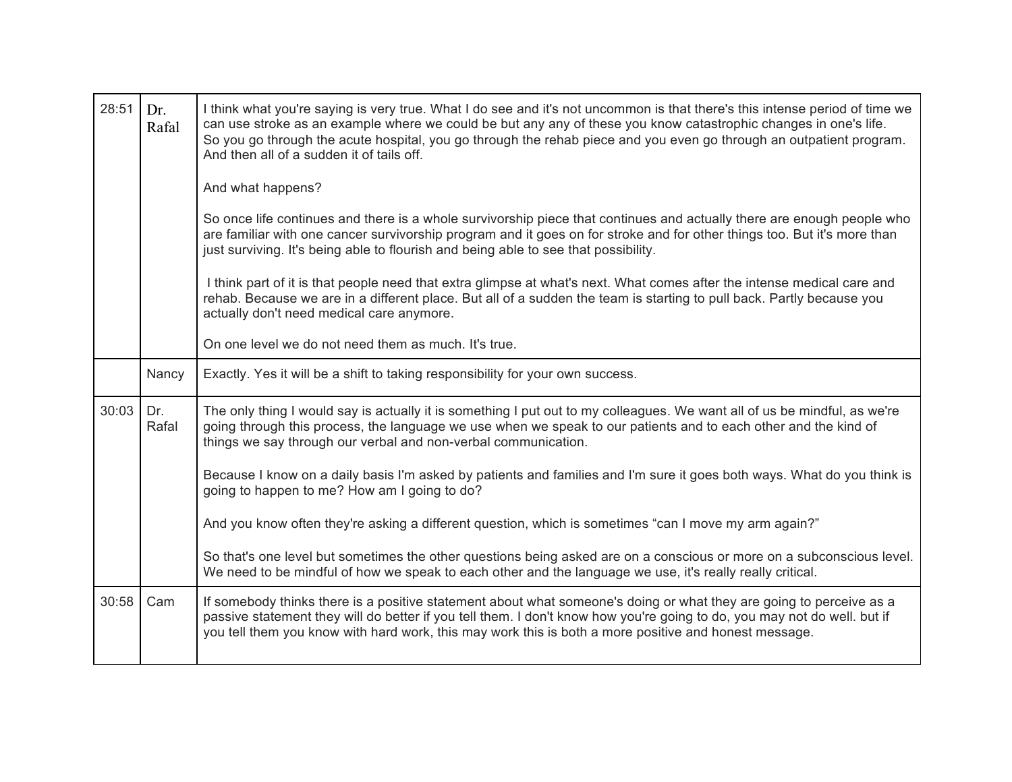| 28:51 | Dr.<br>Rafal | I think what you're saying is very true. What I do see and it's not uncommon is that there's this intense period of time we<br>can use stroke as an example where we could be but any any of these you know catastrophic changes in one's life.<br>So you go through the acute hospital, you go through the rehab piece and you even go through an outpatient program.<br>And then all of a sudden it of tails off. |
|-------|--------------|---------------------------------------------------------------------------------------------------------------------------------------------------------------------------------------------------------------------------------------------------------------------------------------------------------------------------------------------------------------------------------------------------------------------|
|       |              | And what happens?                                                                                                                                                                                                                                                                                                                                                                                                   |
|       |              | So once life continues and there is a whole survivorship piece that continues and actually there are enough people who<br>are familiar with one cancer survivorship program and it goes on for stroke and for other things too. But it's more than<br>just surviving. It's being able to flourish and being able to see that possibility.                                                                           |
|       |              | I think part of it is that people need that extra glimpse at what's next. What comes after the intense medical care and<br>rehab. Because we are in a different place. But all of a sudden the team is starting to pull back. Partly because you<br>actually don't need medical care anymore.                                                                                                                       |
|       |              | On one level we do not need them as much. It's true.                                                                                                                                                                                                                                                                                                                                                                |
|       | Nancy        | Exactly. Yes it will be a shift to taking responsibility for your own success.                                                                                                                                                                                                                                                                                                                                      |
| 30:03 | Dr.<br>Rafal | The only thing I would say is actually it is something I put out to my colleagues. We want all of us be mindful, as we're<br>going through this process, the language we use when we speak to our patients and to each other and the kind of<br>things we say through our verbal and non-verbal communication.                                                                                                      |
|       |              | Because I know on a daily basis I'm asked by patients and families and I'm sure it goes both ways. What do you think is<br>going to happen to me? How am I going to do?                                                                                                                                                                                                                                             |
|       |              | And you know often they're asking a different question, which is sometimes "can I move my arm again?"                                                                                                                                                                                                                                                                                                               |
|       |              | So that's one level but sometimes the other questions being asked are on a conscious or more on a subconscious level.<br>We need to be mindful of how we speak to each other and the language we use, it's really really critical.                                                                                                                                                                                  |
| 30:58 | Cam          | If somebody thinks there is a positive statement about what someone's doing or what they are going to perceive as a<br>passive statement they will do better if you tell them. I don't know how you're going to do, you may not do well. but if<br>you tell them you know with hard work, this may work this is both a more positive and honest message.                                                            |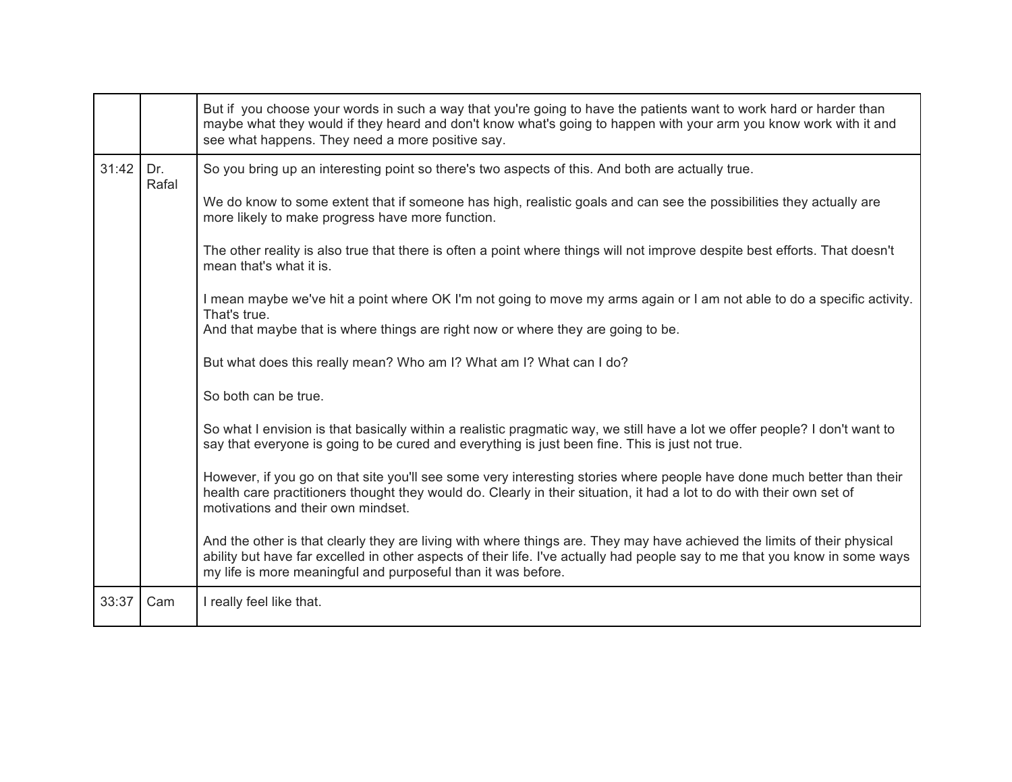|       |              | But if you choose your words in such a way that you're going to have the patients want to work hard or harder than<br>maybe what they would if they heard and don't know what's going to happen with your arm you know work with it and<br>see what happens. They need a more positive say.                                                                                                                                                                                                                                                                                                                                                                                                                                                                                                                                                                                                                                                                                                           |
|-------|--------------|-------------------------------------------------------------------------------------------------------------------------------------------------------------------------------------------------------------------------------------------------------------------------------------------------------------------------------------------------------------------------------------------------------------------------------------------------------------------------------------------------------------------------------------------------------------------------------------------------------------------------------------------------------------------------------------------------------------------------------------------------------------------------------------------------------------------------------------------------------------------------------------------------------------------------------------------------------------------------------------------------------|
| 31:42 | Dr.<br>Rafal | So you bring up an interesting point so there's two aspects of this. And both are actually true.<br>We do know to some extent that if someone has high, realistic goals and can see the possibilities they actually are<br>more likely to make progress have more function.<br>The other reality is also true that there is often a point where things will not improve despite best efforts. That doesn't<br>mean that's what it is.<br>I mean maybe we've hit a point where OK I'm not going to move my arms again or I am not able to do a specific activity.<br>That's true.<br>And that maybe that is where things are right now or where they are going to be.<br>But what does this really mean? Who am I? What am I? What can I do?<br>So both can be true.<br>So what I envision is that basically within a realistic pragmatic way, we still have a lot we offer people? I don't want to<br>say that everyone is going to be cured and everything is just been fine. This is just not true. |
|       |              | However, if you go on that site you'll see some very interesting stories where people have done much better than their<br>health care practitioners thought they would do. Clearly in their situation, it had a lot to do with their own set of<br>motivations and their own mindset.<br>And the other is that clearly they are living with where things are. They may have achieved the limits of their physical<br>ability but have far excelled in other aspects of their life. I've actually had people say to me that you know in some ways<br>my life is more meaningful and purposeful than it was before.                                                                                                                                                                                                                                                                                                                                                                                     |
| 33:37 | Cam          | I really feel like that.                                                                                                                                                                                                                                                                                                                                                                                                                                                                                                                                                                                                                                                                                                                                                                                                                                                                                                                                                                              |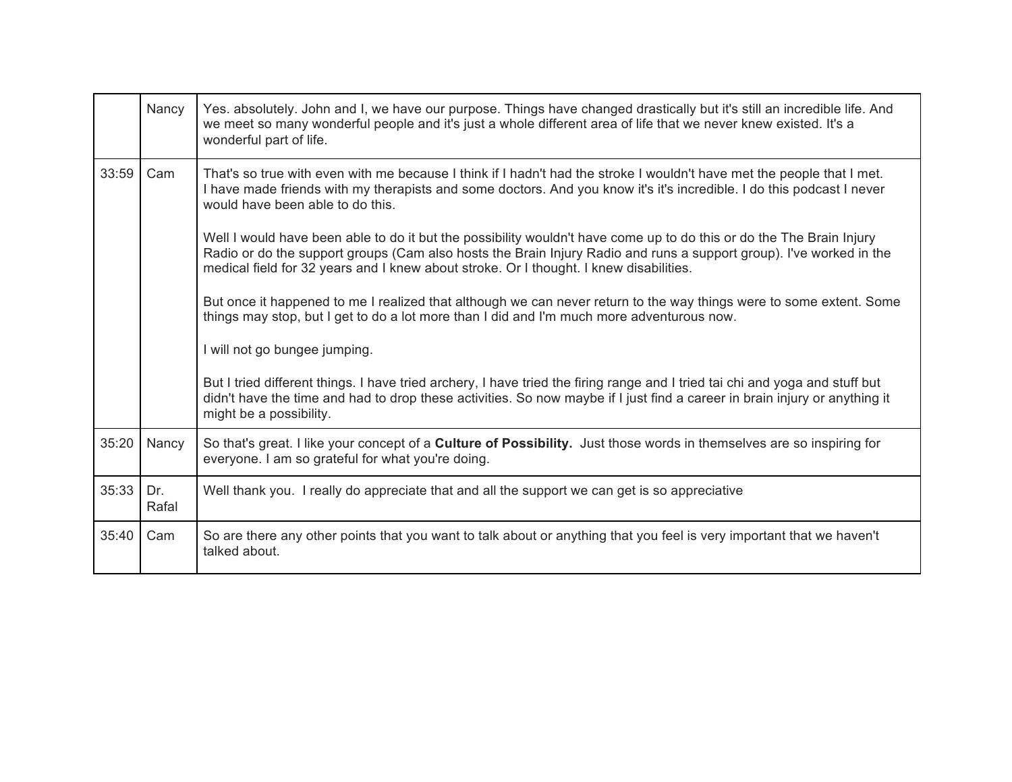|       | Nancy        | Yes. absolutely. John and I, we have our purpose. Things have changed drastically but it's still an incredible life. And<br>we meet so many wonderful people and it's just a whole different area of life that we never knew existed. It's a<br>wonderful part of life.                                                                                                                                                                                                                                                                                                                                                                                                                                                                                                                                                                                                                                                                                                                                                                                                                                                                                                    |
|-------|--------------|----------------------------------------------------------------------------------------------------------------------------------------------------------------------------------------------------------------------------------------------------------------------------------------------------------------------------------------------------------------------------------------------------------------------------------------------------------------------------------------------------------------------------------------------------------------------------------------------------------------------------------------------------------------------------------------------------------------------------------------------------------------------------------------------------------------------------------------------------------------------------------------------------------------------------------------------------------------------------------------------------------------------------------------------------------------------------------------------------------------------------------------------------------------------------|
| 33:59 | Cam          | That's so true with even with me because I think if I hadn't had the stroke I wouldn't have met the people that I met.<br>I have made friends with my therapists and some doctors. And you know it's it's incredible. I do this podcast I never<br>would have been able to do this.<br>Well I would have been able to do it but the possibility wouldn't have come up to do this or do the The Brain Injury<br>Radio or do the support groups (Cam also hosts the Brain Injury Radio and runs a support group). I've worked in the<br>medical field for 32 years and I knew about stroke. Or I thought. I knew disabilities.<br>But once it happened to me I realized that although we can never return to the way things were to some extent. Some<br>things may stop, but I get to do a lot more than I did and I'm much more adventurous now.<br>I will not go bungee jumping.<br>But I tried different things. I have tried archery, I have tried the firing range and I tried tai chi and yoga and stuff but<br>didn't have the time and had to drop these activities. So now maybe if I just find a career in brain injury or anything it<br>might be a possibility. |
| 35:20 | Nancy        | So that's great. I like your concept of a <b>Culture of Possibility</b> . Just those words in themselves are so inspiring for<br>everyone. I am so grateful for what you're doing.                                                                                                                                                                                                                                                                                                                                                                                                                                                                                                                                                                                                                                                                                                                                                                                                                                                                                                                                                                                         |
| 35:33 | Dr.<br>Rafal | Well thank you. I really do appreciate that and all the support we can get is so appreciative                                                                                                                                                                                                                                                                                                                                                                                                                                                                                                                                                                                                                                                                                                                                                                                                                                                                                                                                                                                                                                                                              |
| 35:40 | Cam          | So are there any other points that you want to talk about or anything that you feel is very important that we haven't<br>talked about.                                                                                                                                                                                                                                                                                                                                                                                                                                                                                                                                                                                                                                                                                                                                                                                                                                                                                                                                                                                                                                     |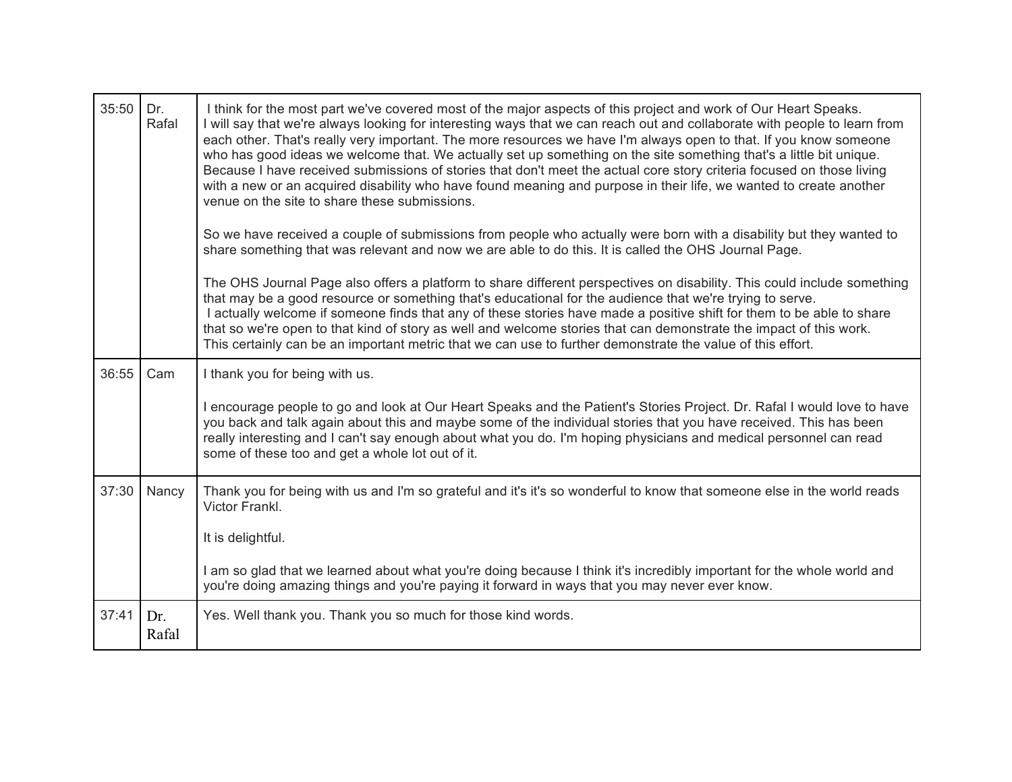| 35:50 | Dr.<br>Rafal | I think for the most part we've covered most of the major aspects of this project and work of Our Heart Speaks.<br>I will say that we're always looking for interesting ways that we can reach out and collaborate with people to learn from<br>each other. That's really very important. The more resources we have I'm always open to that. If you know someone<br>who has good ideas we welcome that. We actually set up something on the site something that's a little bit unique.<br>Because I have received submissions of stories that don't meet the actual core story criteria focused on those living<br>with a new or an acquired disability who have found meaning and purpose in their life, we wanted to create another<br>venue on the site to share these submissions. |
|-------|--------------|-----------------------------------------------------------------------------------------------------------------------------------------------------------------------------------------------------------------------------------------------------------------------------------------------------------------------------------------------------------------------------------------------------------------------------------------------------------------------------------------------------------------------------------------------------------------------------------------------------------------------------------------------------------------------------------------------------------------------------------------------------------------------------------------|
|       |              | So we have received a couple of submissions from people who actually were born with a disability but they wanted to<br>share something that was relevant and now we are able to do this. It is called the OHS Journal Page.                                                                                                                                                                                                                                                                                                                                                                                                                                                                                                                                                             |
|       |              | The OHS Journal Page also offers a platform to share different perspectives on disability. This could include something<br>that may be a good resource or something that's educational for the audience that we're trying to serve.<br>I actually welcome if someone finds that any of these stories have made a positive shift for them to be able to share<br>that so we're open to that kind of story as well and welcome stories that can demonstrate the impact of this work.<br>This certainly can be an important metric that we can use to further demonstrate the value of this effort.                                                                                                                                                                                        |
| 36:55 | Cam          | I thank you for being with us.                                                                                                                                                                                                                                                                                                                                                                                                                                                                                                                                                                                                                                                                                                                                                          |
|       |              | I encourage people to go and look at Our Heart Speaks and the Patient's Stories Project. Dr. Rafal I would love to have<br>you back and talk again about this and maybe some of the individual stories that you have received. This has been<br>really interesting and I can't say enough about what you do. I'm hoping physicians and medical personnel can read<br>some of these too and get a whole lot out of it.                                                                                                                                                                                                                                                                                                                                                                   |
| 37:30 | Nancy        | Thank you for being with us and I'm so grateful and it's it's so wonderful to know that someone else in the world reads<br>Victor Frankl.                                                                                                                                                                                                                                                                                                                                                                                                                                                                                                                                                                                                                                               |
|       |              | It is delightful.                                                                                                                                                                                                                                                                                                                                                                                                                                                                                                                                                                                                                                                                                                                                                                       |
|       |              | I am so glad that we learned about what you're doing because I think it's incredibly important for the whole world and<br>you're doing amazing things and you're paying it forward in ways that you may never ever know.                                                                                                                                                                                                                                                                                                                                                                                                                                                                                                                                                                |
| 37:41 | Dr.<br>Rafal | Yes. Well thank you. Thank you so much for those kind words.                                                                                                                                                                                                                                                                                                                                                                                                                                                                                                                                                                                                                                                                                                                            |